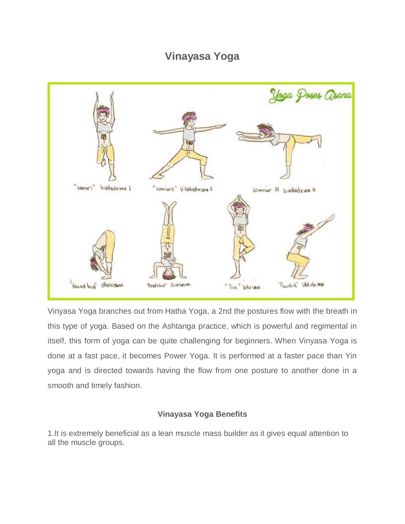## **Vinayasa Yoga**



Vinyasa Yoga branches out from Hatha Yoga, a 2nd the postures flow with the breath in this type of yoga. Based on the Ashtanga practice, which is powerful and regimental in itself, this form of yoga can be quite challenging for beginners. When Vinyasa Yoga is done at a fast pace, it becomes Power Yoga. It is performed at a faster pace than Yin yoga and is directed towards having the flow from one posture to another done in a smooth and timely fashion.

## **Vinayasa Yoga Benefits**

1.It is extremely beneficial as a lean muscle mass builder as it gives equal attention to all the muscle groups.